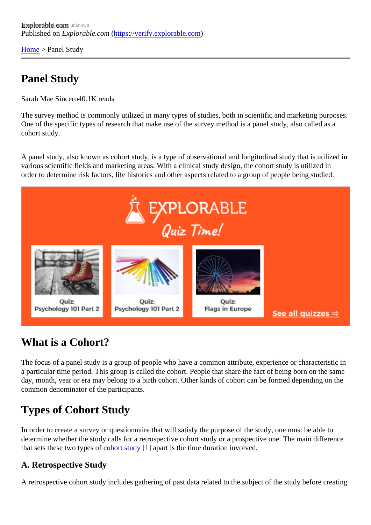[Home](https://verify.explorable.com/)> Panel Study

# Panel Study

Sarah Mae Since 40.1K reads

The survey method is commonly utilized in many types of studies, both in scientific and marketing purpose. One of the specific types of research that make use of the survey method is a panel study, also called as a cohort study.

A panel study, also known as cohort study, is a type of observational and longitudinal study that is utilized various scientific fields and marketing areas. With a clinical study design, the cohort study is utilized in order to determine risk factors, life histories and other aspects related to a group of people being studied.

### What is a Cohort?

The focus of a panel study is a group of people who have a common attribute, experience or characteristic a particular time period. This group is called the cohort. People that share the fact of being born on the sam day, month, year or era may belong to a birth cohort. Other kinds of cohort can be formed depending on the common denominator of the participants.

# Types of Cohort Study

In order to create a survey or questionnaire that will satisfy the purpose of the study, one must be able to determine whether the study calls for a retrospective cohort study or a prospective one. The main differene that sets these two types of hort study<sup>[1]</sup> apart is the time duration involved.

#### A. Retrospective Study

A retrospective cohort study includes gathering of past data related to the subject of the study before creation